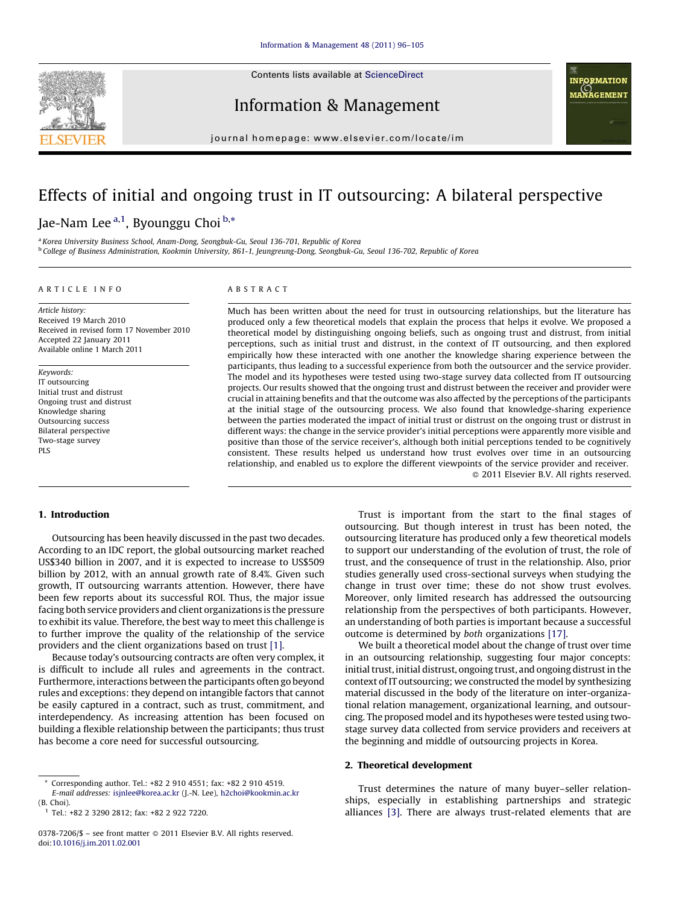

Contents lists available at [ScienceDirect](http://www.sciencedirect.com/science/journal/03787206)

Information & Management



journal homepage: www.elsevier.com/locate/im

# Effects of initial and ongoing trust in IT outsourcing: A bilateral perspective

Jae-Nam Lee <sup>a,1</sup>, Byounggu Choi <sup>b,</sup>\*

<sup>a</sup> Korea University Business School, Anam-Dong, Seongbuk-Gu, Seoul 136-701, Republic of Korea <sup>b</sup> College of Business Administration, Kookmin University, 861-1, Jeungreung-Dong, Seongbuk-Gu, Seoul 136-702, Republic of Korea

#### ARTICLE INFO

Article history: Received 19 March 2010 Received in revised form 17 November 2010 Accepted 22 January 2011 Available online 1 March 2011

Keywords: IT outsourcing Initial trust and distrust Ongoing trust and distrust Knowledge sharing Outsourcing success Bilateral perspective Two-stage survey PLS

### ABSTRACT

Much has been written about the need for trust in outsourcing relationships, but the literature has produced only a few theoretical models that explain the process that helps it evolve. We proposed a theoretical model by distinguishing ongoing beliefs, such as ongoing trust and distrust, from initial perceptions, such as initial trust and distrust, in the context of IT outsourcing, and then explored empirically how these interacted with one another the knowledge sharing experience between the participants, thus leading to a successful experience from both the outsourcer and the service provider. The model and its hypotheses were tested using two-stage survey data collected from IT outsourcing projects. Our results showed that the ongoing trust and distrust between the receiver and provider were crucial in attaining benefits and that the outcome was also affected by the perceptions of the participants at the initial stage of the outsourcing process. We also found that knowledge-sharing experience between the parties moderated the impact of initial trust or distrust on the ongoing trust or distrust in different ways: the change in the service provider's initial perceptions were apparently more visible and positive than those of the service receiver's, although both initial perceptions tended to be cognitively consistent. These results helped us understand how trust evolves over time in an outsourcing relationship, and enabled us to explore the different viewpoints of the service provider and receiver. - 2011 Elsevier B.V. All rights reserved.

### 1. Introduction

Outsourcing has been heavily discussed in the past two decades. According to an IDC report, the global outsourcing market reached US\$340 billion in 2007, and it is expected to increase to US\$509 billion by 2012, with an annual growth rate of 8.4%. Given such growth, IT outsourcing warrants attention. However, there have been few reports about its successful ROI. Thus, the major issue facing both service providers and client organizations is the pressure to exhibit its value. Therefore, the best way to meet this challenge is to further improve the quality of the relationship of the service providers and the client organizations based on trust [\[1\].](#page--1-0)

Because today's outsourcing contracts are often very complex, it is difficult to include all rules and agreements in the contract. Furthermore, interactions between the participants often go beyond rules and exceptions: they depend on intangible factors that cannot be easily captured in a contract, such as trust, commitment, and interdependency. As increasing attention has been focused on building a flexible relationship between the participants; thus trust has become a core need for successful outsourcing.

Trust is important from the start to the final stages of outsourcing. But though interest in trust has been noted, the outsourcing literature has produced only a few theoretical models to support our understanding of the evolution of trust, the role of trust, and the consequence of trust in the relationship. Also, prior studies generally used cross-sectional surveys when studying the change in trust over time; these do not show trust evolves. Moreover, only limited research has addressed the outsourcing relationship from the perspectives of both participants. However, an understanding of both parties is important because a successful outcome is determined by both organizations [\[17\].](#page--1-0)

We built a theoretical model about the change of trust over time in an outsourcing relationship, suggesting four major concepts: initial trust, initial distrust, ongoing trust, and ongoing distrust in the context of IT outsourcing; we constructed the model by synthesizing material discussed in the body of the literature on inter-organizational relation management, organizational learning, and outsourcing. The proposed model and its hypotheses were tested using twostage survey data collected from service providers and receivers at the beginning and middle of outsourcing projects in Korea.

# 2. Theoretical development

Trust determines the nature of many buyer–seller relationships, especially in establishing partnerships and strategic alliances [\[3\].](#page--1-0) There are always trust-related elements that are

<sup>\*</sup> Corresponding author. Tel.: +82 2 910 4551; fax: +82 2 910 4519. E-mail addresses: [isjnlee@korea.ac.kr](mailto:isjnlee@korea.ac.kr) (J.-N. Lee), [h2choi@kookmin.ac.kr](mailto:h2choi@kookmin.ac.kr)

<sup>(</sup>B. Choi).

<sup>1</sup> Tel.: +82 2 3290 2812; fax: +82 2 922 7220.

<sup>0378-7206/\$ –</sup> see front matter @ 2011 Elsevier B.V. All rights reserved. doi:[10.1016/j.im.2011.02.001](http://dx.doi.org/10.1016/j.im.2011.02.001)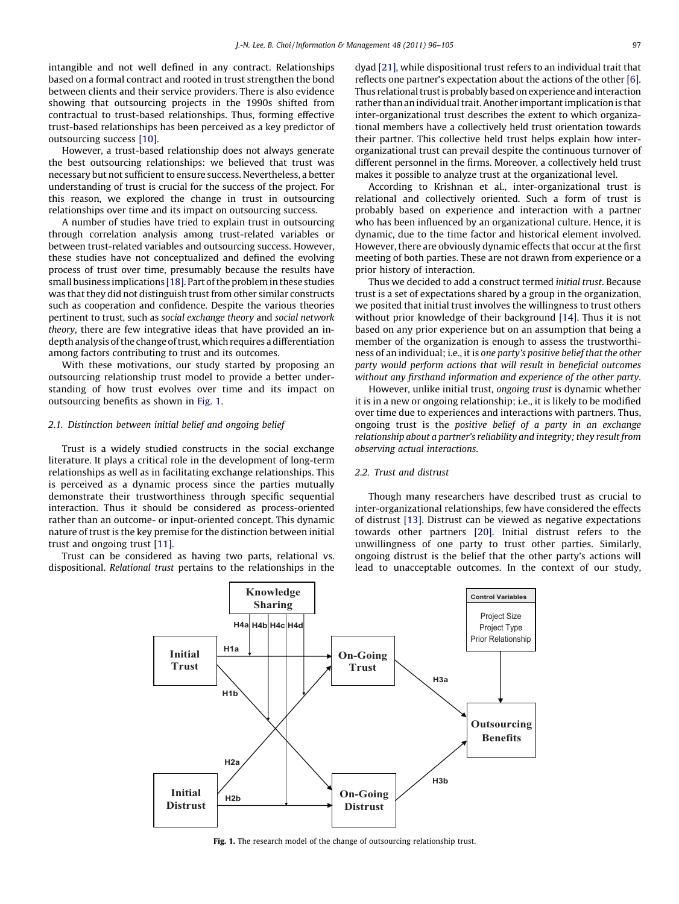intangible and not well defined in any contract. Relationships based on a formal contract and rooted in trust strengthen the bond between clients and their service providers. There is also evidence showing that outsourcing projects in the 1990s shifted from contractual to trust-based relationships. Thus, forming effective trust-based relationships has been perceived as a key predictor of outsourcing success [\[10\]](#page--1-0).

However, a trust-based relationship does not always generate the best outsourcing relationships: we believed that trust was necessary but not sufficient to ensure success. Nevertheless, a better understanding of trust is crucial for the success of the project. For this reason, we explored the change in trust in outsourcing relationships over time and its impact on outsourcing success.

A number of studies have tried to explain trust in outsourcing through correlation analysis among trust-related variables or between trust-related variables and outsourcing success. However, these studies have not conceptualized and defined the evolving process of trust over time, presumably because the results have small business implications [\[18\]](#page--1-0). Part of the problem in these studies was that they did not distinguish trust from other similar constructs such as cooperation and confidence. Despite the various theories pertinent to trust, such as social exchange theory and social network theory, there are few integrative ideas that have provided an indepth analysis of the change of trust, which requires a differentiation among factors contributing to trust and its outcomes.

With these motivations, our study started by proposing an outsourcing relationship trust model to provide a better understanding of how trust evolves over time and its impact on outsourcing benefits as shown in Fig. 1.

## 2.1. Distinction between initial belief and ongoing belief

Trust is a widely studied constructs in the social exchange literature. It plays a critical role in the development of long-term relationships as well as in facilitating exchange relationships. This is perceived as a dynamic process since the parties mutually demonstrate their trustworthiness through specific sequential interaction. Thus it should be considered as process-oriented rather than an outcome- or input-oriented concept. This dynamic nature of trust is the key premise for the distinction between initial trust and ongoing trust [\[11\].](#page--1-0)

Trust can be considered as having two parts, relational vs. dispositional. Relational trust pertains to the relationships in the dyad [\[21\]](#page--1-0), while dispositional trust refers to an individual trait that reflects one partner's expectation about the actions of the other [\[6\].](#page--1-0) Thus relational trust is probably based on experience and interaction rather than an individual trait. Another important implication is that inter-organizational trust describes the extent to which organizational members have a collectively held trust orientation towards their partner. This collective held trust helps explain how interorganizational trust can prevail despite the continuous turnover of different personnel in the firms. Moreover, a collectively held trust makes it possible to analyze trust at the organizational level.

According to Krishnan et al., inter-organizational trust is relational and collectively oriented. Such a form of trust is probably based on experience and interaction with a partner who has been influenced by an organizational culture. Hence, it is dynamic, due to the time factor and historical element involved. However, there are obviously dynamic effects that occur at the first meeting of both parties. These are not drawn from experience or a prior history of interaction.

Thus we decided to add a construct termed initial trust. Because trust is a set of expectations shared by a group in the organization, we posited that initial trust involves the willingness to trust others without prior knowledge of their background [\[14\]](#page--1-0). Thus it is not based on any prior experience but on an assumption that being a member of the organization is enough to assess the trustworthiness of an individual; i.e., it is one party's positive belief that the other party would perform actions that will result in beneficial outcomes without any firsthand information and experience of the other party.

However, unlike initial trust, ongoing trust is dynamic whether it is in a new or ongoing relationship; i.e., it is likely to be modified over time due to experiences and interactions with partners. Thus, ongoing trust is the positive belief of a party in an exchange relationship about a partner's reliability and integrity; they result from observing actual interactions.

# 2.2. Trust and distrust

Though many researchers have described trust as crucial to inter-organizational relationships, few have considered the effects of distrust [\[13\]](#page--1-0). Distrust can be viewed as negative expectations towards other partners [\[20\].](#page--1-0) Initial distrust refers to the unwillingness of one party to trust other parties. Similarly, ongoing distrust is the belief that the other party's actions will lead to unacceptable outcomes. In the context of our study,



Fig. 1. The research model of the change of outsourcing relationship trust.